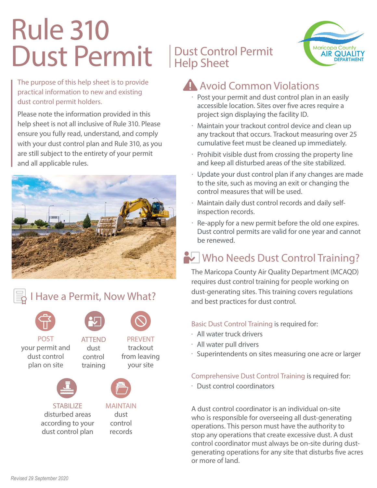# Rule 310 Dust Permit | Dust Control Permit

### The purpose of this help sheet is to provide practical information to new and existing dust control permit holders.

Please note the information provided in this help sheet is not all inclusive of Rule 310. Please ensure you fully read, understand, and comply with your dust control plan and Rule 310, as you are still subject to the entirety of your permit and all applicable rules.



### I Have a Permit, Now What?

ATTEND dust control training



POST your permit and dust control plan on site



**STABILIZE** disturbed areas according to your dust control plan



PREVENT trackout from leaving your site



MAINTAIN dust control records

# Help Sheet



## Avoid Common Violations

- Post your permit and dust control plan in an easily accessible location. Sites over five acres require a project sign displaying the facility ID.
- Maintain your trackout control device and clean up any trackout that occurs. Trackout measuring over 25 cumulative feet must be cleaned up immediately.
- $\cdot$  Prohibit visible dust from crossing the property line and keep all disturbed areas of the site stabilized.
- Update your dust control plan if any changes are made to the site, such as moving an exit or changing the control measures that will be used.
- Maintain daily dust control records and daily selfinspection records.
- Re-apply for a new permit before the old one expires. Dust control permits are valid for one year and cannot be renewed.

# Who Needs Dust Control Training?

The Maricopa County Air Quality Department (MCAQD) requires dust control training for people working on dust-generating sites. This training covers regulations and best practices for dust control.

#### Basic Dust Control Training is required for:

- All water truck drivers
- All water pull drivers
- Superintendents on sites measuring one acre or larger

#### Comprehensive Dust Control Training is required for:

• Dust control coordinators

A dust control coordinator is an individual on-site who is responsible for overseeing all dust-generating operations. This person must have the authority to stop any operations that create excessive dust. A dust control coordinator must always be on-site during dustgenerating operations for any site that disturbs five acres or more of land.